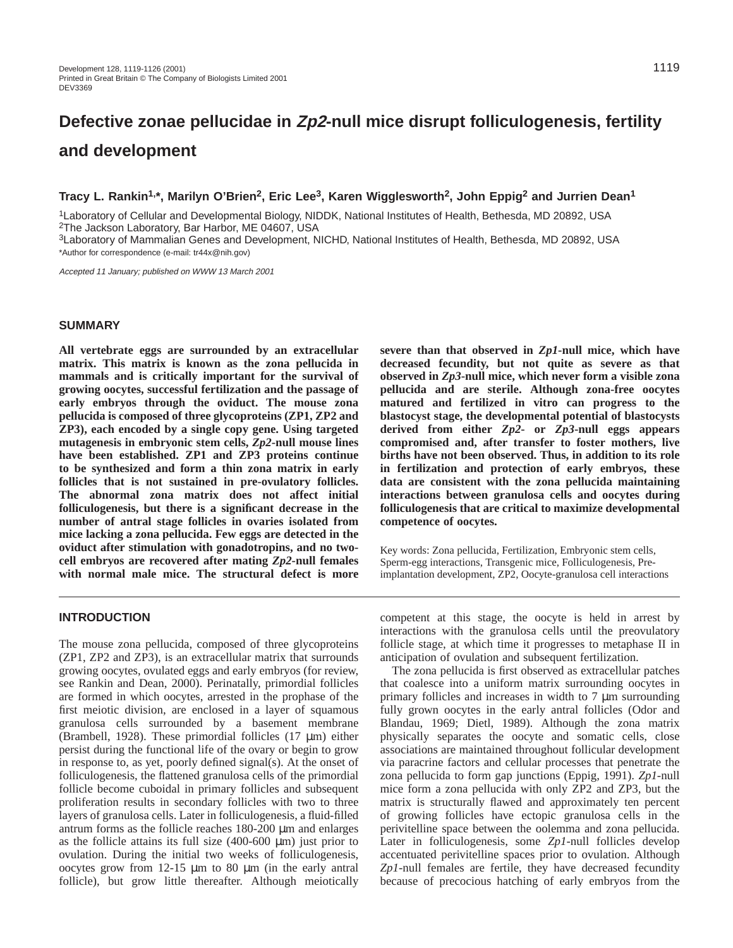# **Defective zonae pellucidae in Zp2-null mice disrupt folliculogenesis, fertility and development**

## **Tracy L. Rankin1,\*, Marilyn O'Brien2, Eric Lee3, Karen Wigglesworth2, John Eppig2 and Jurrien Dean1**

1Laboratory of Cellular and Developmental Biology, NIDDK, National Institutes of Health, Bethesda, MD 20892, USA 2The Jackson Laboratory, Bar Harbor, ME 04607, USA

3Laboratory of Mammalian Genes and Development, NICHD, National Institutes of Health, Bethesda, MD 20892, USA \*Author for correspondence (e-mail: tr44x@nih.gov)

Accepted 11 January; published on WWW 13 March 2001

#### **SUMMARY**

**All vertebrate eggs are surrounded by an extracellular matrix. This matrix is known as the zona pellucida in mammals and is critically important for the survival of growing oocytes, successful fertilization and the passage of early embryos through the oviduct. The mouse zona pellucida is composed of three glycoproteins (ZP1, ZP2 and ZP3), each encoded by a single copy gene. Using targeted mutagenesis in embryonic stem cells,** *Zp2***-null mouse lines have been established. ZP1 and ZP3 proteins continue to be synthesized and form a thin zona matrix in early follicles that is not sustained in pre-ovulatory follicles. The abnormal zona matrix does not affect initial folliculogenesis, but there is a significant decrease in the number of antral stage follicles in ovaries isolated from mice lacking a zona pellucida. Few eggs are detected in the oviduct after stimulation with gonadotropins, and no twocell embryos are recovered after mating** *Zp2***-null females with normal male mice. The structural defect is more**

## **INTRODUCTION**

The mouse zona pellucida, composed of three glycoproteins (ZP1, ZP2 and ZP3), is an extracellular matrix that surrounds growing oocytes, ovulated eggs and early embryos (for review, see Rankin and Dean, 2000). Perinatally, primordial follicles are formed in which oocytes, arrested in the prophase of the first meiotic division, are enclosed in a layer of squamous granulosa cells surrounded by a basement membrane (Brambell, 1928). These primordial follicles (17 µm) either persist during the functional life of the ovary or begin to grow in response to, as yet, poorly defined signal(s). At the onset of folliculogenesis, the flattened granulosa cells of the primordial follicle become cuboidal in primary follicles and subsequent proliferation results in secondary follicles with two to three layers of granulosa cells. Later in folliculogenesis, a fluid-filled antrum forms as the follicle reaches 180-200 µm and enlarges as the follicle attains its full size  $(400-600 \mu m)$  just prior to ovulation. During the initial two weeks of folliculogenesis, oocytes grow from 12-15 µm to 80 µm (in the early antral follicle), but grow little thereafter. Although meiotically **severe than that observed in** *Zp1***-null mice, which have decreased fecundity, but not quite as severe as that observed in** *Zp3***-null mice, which never form a visible zona pellucida and are sterile. Although zona-free oocytes matured and fertilized in vitro can progress to the blastocyst stage, the developmental potential of blastocysts derived from either** *Zp2***- or** *Zp3***-null eggs appears compromised and, after transfer to foster mothers, live births have not been observed. Thus, in addition to its role in fertilization and protection of early embryos, these data are consistent with the zona pellucida maintaining interactions between granulosa cells and oocytes during folliculogenesis that are critical to maximize developmental competence of oocytes.**

Key words: Zona pellucida, Fertilization, Embryonic stem cells, Sperm-egg interactions, Transgenic mice, Folliculogenesis, Preimplantation development, ZP2, Oocyte-granulosa cell interactions

competent at this stage, the oocyte is held in arrest by interactions with the granulosa cells until the preovulatory follicle stage, at which time it progresses to metaphase II in anticipation of ovulation and subsequent fertilization.

The zona pellucida is first observed as extracellular patches that coalesce into a uniform matrix surrounding oocytes in primary follicles and increases in width to  $7 \mu m$  surrounding fully grown oocytes in the early antral follicles (Odor and Blandau, 1969; Dietl, 1989). Although the zona matrix physically separates the oocyte and somatic cells, close associations are maintained throughout follicular development via paracrine factors and cellular processes that penetrate the zona pellucida to form gap junctions (Eppig, 1991). *Zp1*-null mice form a zona pellucida with only ZP2 and ZP3, but the matrix is structurally flawed and approximately ten percent of growing follicles have ectopic granulosa cells in the perivitelline space between the oolemma and zona pellucida. Later in folliculogenesis, some *Zp1*-null follicles develop accentuated perivitelline spaces prior to ovulation. Although *Zp1*-null females are fertile, they have decreased fecundity because of precocious hatching of early embryos from the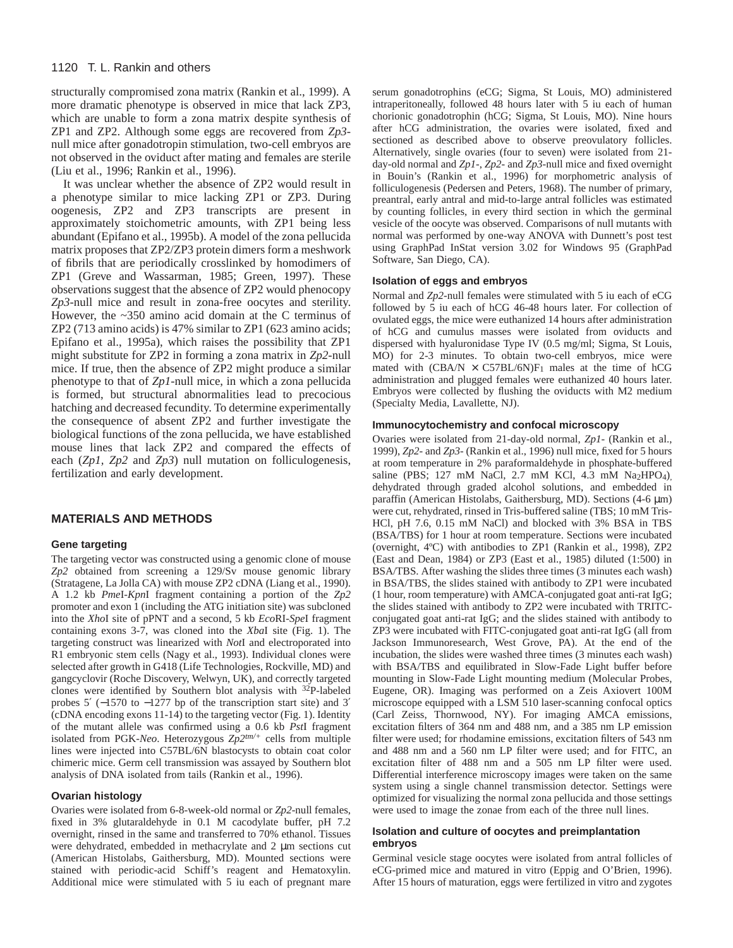#### 1120 T. L. Rankin and others

structurally compromised zona matrix (Rankin et al., 1999). A more dramatic phenotype is observed in mice that lack ZP3, which are unable to form a zona matrix despite synthesis of ZP1 and ZP2. Although some eggs are recovered from *Zp3* null mice after gonadotropin stimulation, two-cell embryos are not observed in the oviduct after mating and females are sterile (Liu et al., 1996; Rankin et al., 1996).

It was unclear whether the absence of ZP2 would result in a phenotype similar to mice lacking ZP1 or ZP3. During oogenesis, ZP2 and ZP3 transcripts are present in approximately stoichometric amounts, with ZP1 being less abundant (Epifano et al., 1995b). A model of the zona pellucida matrix proposes that ZP2/ZP3 protein dimers form a meshwork of fibrils that are periodically crosslinked by homodimers of ZP1 (Greve and Wassarman, 1985; Green, 1997). These observations suggest that the absence of ZP2 would phenocopy *Zp3*-null mice and result in zona-free oocytes and sterility. However, the ~350 amino acid domain at the C terminus of ZP2 (713 amino acids) is 47% similar to ZP1 (623 amino acids; Epifano et al., 1995a), which raises the possibility that ZP1 might substitute for ZP2 in forming a zona matrix in *Zp2*-null mice. If true, then the absence of ZP2 might produce a similar phenotype to that of *Zp1*-null mice, in which a zona pellucida is formed, but structural abnormalities lead to precocious hatching and decreased fecundity. To determine experimentally the consequence of absent ZP2 and further investigate the biological functions of the zona pellucida, we have established mouse lines that lack ZP2 and compared the effects of each (*Zp1, Zp2* and *Zp3*) null mutation on folliculogenesis, fertilization and early development.

## **MATERIALS AND METHODS**

#### **Gene targeting**

The targeting vector was constructed using a genomic clone of mouse *Zp2* obtained from screening a 129/Sv mouse genomic library (Stratagene, La Jolla CA) with mouse ZP2 cDNA (Liang et al., 1990). A 1.2 kb *Pme*I-*Kpn*I fragment containing a portion of the *Zp2* promoter and exon 1 (including the ATG initiation site) was subcloned into the *Xho*I site of pPNT and a second, 5 kb *Eco*RI-*Spe*I fragment containing exons 3-7, was cloned into the *Xba*I site (Fig. 1). The targeting construct was linearized with *Not*I and electroporated into R1 embryonic stem cells (Nagy et al., 1993). Individual clones were selected after growth in G418 (Life Technologies, Rockville, MD) and gangcyclovir (Roche Discovery, Welwyn, UK), and correctly targeted clones were identified by Southern blot analysis with 32P-labeled probes 5′ (−1570 to −1277 bp of the transcription start site) and 3′ (cDNA encoding exons 11-14) to the targeting vector (Fig. 1). Identity of the mutant allele was confirmed using a 0.6 kb *Pst*I fragment isolated from PGK-*Neo*. Heterozygous *Zp2tm/+* cells from multiple lines were injected into C57BL/6N blastocysts to obtain coat color chimeric mice. Germ cell transmission was assayed by Southern blot analysis of DNA isolated from tails (Rankin et al., 1996).

#### **Ovarian histology**

Ovaries were isolated from 6-8-week-old normal or *Zp2*-null females, fixed in 3% glutaraldehyde in 0.1 M cacodylate buffer, pH 7.2 overnight, rinsed in the same and transferred to 70% ethanol. Tissues were dehydrated, embedded in methacrylate and 2 µm sections cut (American Histolabs, Gaithersburg, MD). Mounted sections were stained with periodic-acid Schiff's reagent and Hematoxylin. Additional mice were stimulated with 5 iu each of pregnant mare

serum gonadotrophins (eCG; Sigma, St Louis, MO) administered intraperitoneally, followed 48 hours later with 5 iu each of human chorionic gonadotrophin (hCG; Sigma, St Louis, MO). Nine hours after hCG administration, the ovaries were isolated, fixed and sectioned as described above to observe preovulatory follicles. Alternatively, single ovaries (four to seven) were isolated from 21 day-old normal and *Zp1*-, *Zp2*- and *Zp3*-null mice and fixed overnight in Bouin's (Rankin et al., 1996) for morphometric analysis of folliculogenesis (Pedersen and Peters, 1968). The number of primary, preantral, early antral and mid-to-large antral follicles was estimated by counting follicles, in every third section in which the germinal vesicle of the oocyte was observed. Comparisons of null mutants with normal was performed by one-way ANOVA with Dunnett's post test using GraphPad InStat version 3.02 for Windows 95 (GraphPad Software, San Diego, CA).

#### **Isolation of eggs and embryos**

Normal and *Zp2*-null females were stimulated with 5 iu each of eCG followed by 5 iu each of hCG 46-48 hours later. For collection of ovulated eggs, the mice were euthanized 14 hours after administration of hCG and cumulus masses were isolated from oviducts and dispersed with hyaluronidase Type IV (0.5 mg/ml; Sigma, St Louis, MO) for 2-3 minutes. To obtain two-cell embryos, mice were mated with  $(CBA/N \times C57BL/6N)F_1$  males at the time of hCG administration and plugged females were euthanized 40 hours later. Embryos were collected by flushing the oviducts with M2 medium (Specialty Media, Lavallette, NJ).

#### **Immunocytochemistry and confocal microscopy**

Ovaries were isolated from 21-day-old normal, *Zp1*- (Rankin et al., 1999), *Zp2*- and *Zp3*- (Rankin et al., 1996) null mice, fixed for 5 hours at room temperature in 2% paraformaldehyde in phosphate-buffered saline (PBS; 127 mM NaCl, 2.7 mM KCl, 4.3 mM Na2HPO4), dehydrated through graded alcohol solutions, and embedded in paraffin (American Histolabs, Gaithersburg, MD). Sections (4-6 µm) were cut, rehydrated, rinsed in Tris-buffered saline (TBS; 10 mM Tris-HCl, pH 7.6, 0.15 mM NaCl) and blocked with 3% BSA in TBS (BSA/TBS) for 1 hour at room temperature. Sections were incubated (overnight, 4ºC) with antibodies to ZP1 (Rankin et al., 1998), ZP2 (East and Dean, 1984) or ZP3 (East et al., 1985) diluted (1:500) in BSA/TBS. After washing the slides three times (3 minutes each wash) in BSA/TBS, the slides stained with antibody to ZP1 were incubated (1 hour, room temperature) with AMCA-conjugated goat anti-rat IgG; the slides stained with antibody to ZP2 were incubated with TRITCconjugated goat anti-rat IgG; and the slides stained with antibody to ZP3 were incubated with FITC-conjugated goat anti-rat IgG (all from Jackson Immunoresearch, West Grove, PA). At the end of the incubation, the slides were washed three times (3 minutes each wash) with BSA/TBS and equilibrated in Slow-Fade Light buffer before mounting in Slow-Fade Light mounting medium (Molecular Probes, Eugene, OR). Imaging was performed on a Zeis Axiovert 100M microscope equipped with a LSM 510 laser-scanning confocal optics (Carl Zeiss, Thornwood, NY). For imaging AMCA emissions, excitation filters of 364 nm and 488 nm, and a 385 nm LP emission filter were used; for rhodamine emissions, excitation filters of 543 nm and 488 nm and a 560 nm LP filter were used; and for FITC, an excitation filter of 488 nm and a 505 nm LP filter were used. Differential interference microscopy images were taken on the same system using a single channel transmission detector. Settings were optimized for visualizing the normal zona pellucida and those settings were used to image the zonae from each of the three null lines.

#### **Isolation and culture of oocytes and preimplantation embryos**

Germinal vesicle stage oocytes were isolated from antral follicles of eCG-primed mice and matured in vitro (Eppig and O'Brien, 1996). After 15 hours of maturation, eggs were fertilized in vitro and zygotes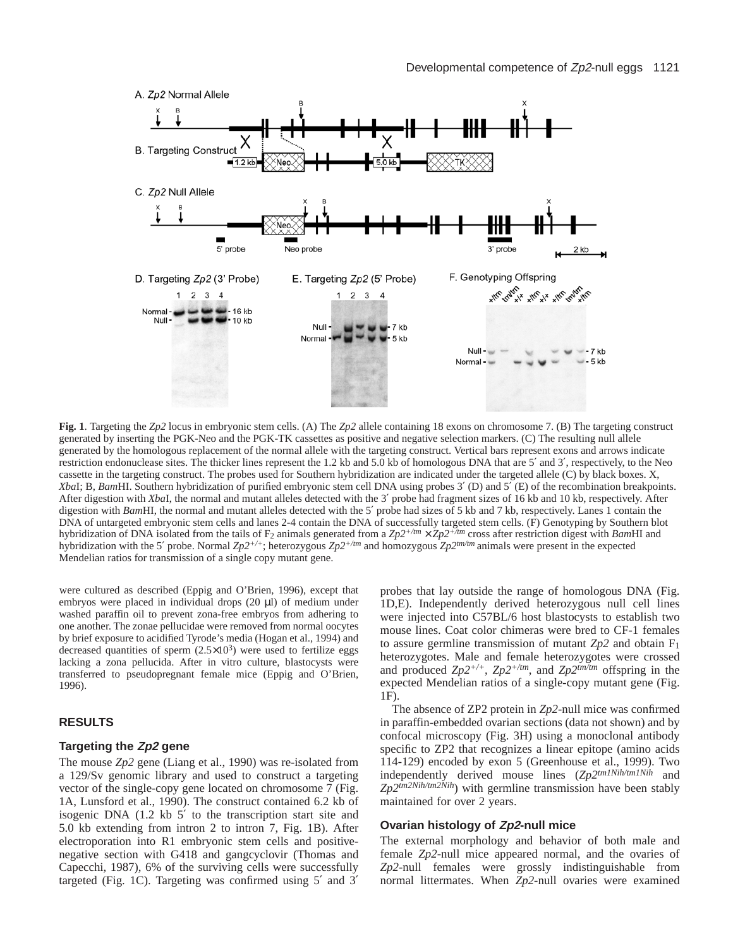

**Fig. 1**. Targeting the *Zp2* locus in embryonic stem cells. (A) The *Zp2* allele containing 18 exons on chromosome 7. (B) The targeting construct generated by inserting the PGK-Neo and the PGK-TK cassettes as positive and negative selection markers. (C) The resulting null allele generated by the homologous replacement of the normal allele with the targeting construct. Vertical bars represent exons and arrows indicate restriction endonuclease sites. The thicker lines represent the 1.2 kb and 5.0 kb of homologous DNA that are 5′ and 3′, respectively, to the Neo cassette in the targeting construct. The probes used for Southern hybridization are indicated under the targeted allele (C) by black boxes. X, *Xba*I; B, *Bam*HI. Southern hybridization of purified embryonic stem cell DNA using probes 3′ (D) and 5′ (E) of the recombination breakpoints. After digestion with *Xba*I, the normal and mutant alleles detected with the 3′ probe had fragment sizes of 16 kb and 10 kb, respectively. After digestion with *Bam*HI, the normal and mutant alleles detected with the 5' probe had sizes of 5 kb and 7 kb, respectively. Lanes 1 contain the DNA of untargeted embryonic stem cells and lanes 2-4 contain the DNA of successfully targeted stem cells. (F) Genotyping by Southern blot hybridization of DNA isolated from the tails of F<sub>2</sub> animals generated from a  $Zp2^{+/tm} \times Zp2^{+/tm}$  cross after restriction digest with *Bam*HI and hybridization with the 5′ probe. Normal *Zp2+/+*; heterozygous *Zp2+/tm* and homozygous *Zp2tm/tm* animals were present in the expected Mendelian ratios for transmission of a single copy mutant gene.

were cultured as described (Eppig and O'Brien, 1996), except that embryos were placed in individual drops (20 µl) of medium under washed paraffin oil to prevent zona-free embryos from adhering to one another. The zonae pellucidae were removed from normal oocytes by brief exposure to acidified Tyrode's media (Hogan et al., 1994) and decreased quantities of sperm  $(2.5 \times 10^3)$  were used to fertilize eggs lacking a zona pellucida. After in vitro culture, blastocysts were transferred to pseudopregnant female mice (Eppig and O'Brien, 1996).

## **RESULTS**

#### **Targeting the Zp2 gene**

The mouse *Zp2* gene (Liang et al., 1990) was re-isolated from a 129/Sv genomic library and used to construct a targeting vector of the single-copy gene located on chromosome 7 (Fig. 1A, Lunsford et al., 1990). The construct contained 6.2 kb of isogenic DNA (1.2 kb 5′ to the transcription start site and 5.0 kb extending from intron 2 to intron 7, Fig. 1B). After electroporation into R1 embryonic stem cells and positivenegative section with G418 and gangcyclovir (Thomas and Capecchi, 1987), 6% of the surviving cells were successfully targeted (Fig. 1C). Targeting was confirmed using 5′ and 3′ probes that lay outside the range of homologous DNA (Fig. 1D,E). Independently derived heterozygous null cell lines were injected into C57BL/6 host blastocysts to establish two mouse lines. Coat color chimeras were bred to CF-1 females to assure germline transmission of mutant  $Zp2$  and obtain  $F_1$ heterozygotes. Male and female heterozygotes were crossed and produced *Zp2+/+*, *Zp2+/tm*, and *Zp2tm/tm* offspring in the expected Mendelian ratios of a single-copy mutant gene (Fig. 1F).

The absence of ZP2 protein in *Zp2*-null mice was confirmed in paraffin-embedded ovarian sections (data not shown) and by confocal microscopy (Fig. 3H) using a monoclonal antibody specific to ZP2 that recognizes a linear epitope (amino acids 114-129) encoded by exon 5 (Greenhouse et al., 1999). Two independently derived mouse lines (*Zp2tm1Nih/tm1Nih* and *Zp2tm2Nih/tm2Nih*) with germline transmission have been stably maintained for over 2 years.

#### **Ovarian histology of Zp2-null mice**

The external morphology and behavior of both male and female *Zp2*-null mice appeared normal, and the ovaries of *Zp2*-null females were grossly indistinguishable from normal littermates. When *Zp2*-null ovaries were examined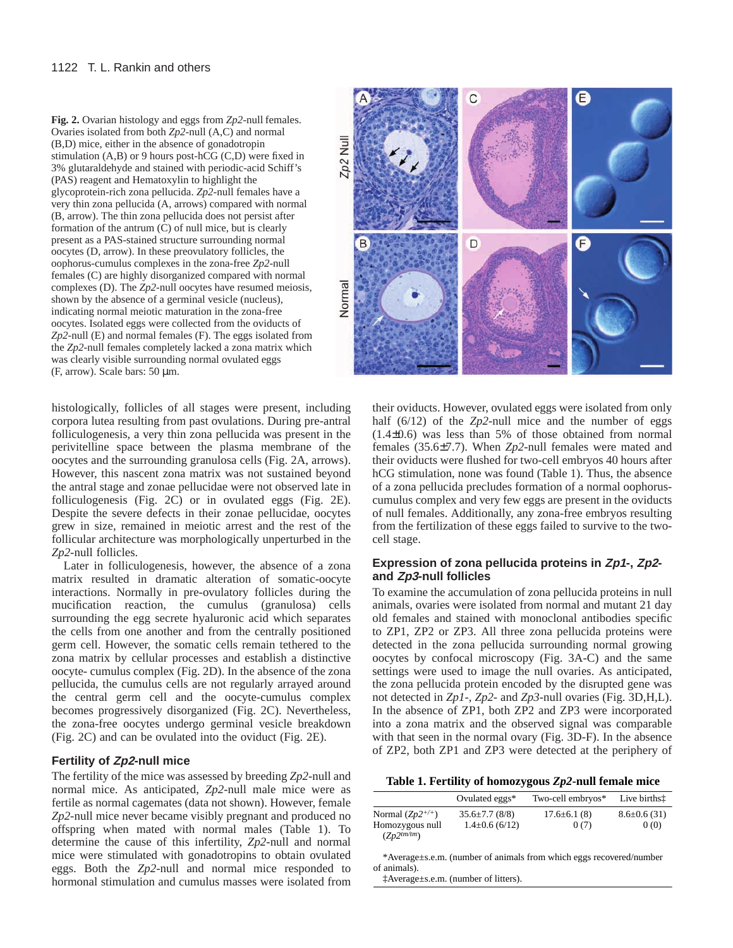**Fig. 2.** Ovarian histology and eggs from *Zp2*-null females. Ovaries isolated from both *Zp2*-null (A,C) and normal (B,D) mice, either in the absence of gonadotropin stimulation (A,B) or 9 hours post-hCG (C,D) were fixed in 3% glutaraldehyde and stained with periodic-acid Schiff's (PAS) reagent and Hematoxylin to highlight the glycoprotein-rich zona pellucida. *Zp2*-null females have a very thin zona pellucida (A, arrows) compared with normal (B, arrow). The thin zona pellucida does not persist after formation of the antrum (C) of null mice, but is clearly present as a PAS-stained structure surrounding normal oocytes (D, arrow). In these preovulatory follicles, the oophorus-cumulus complexes in the zona-free *Zp2*-null females (C) are highly disorganized compared with normal complexes (D). The *Zp2*-null oocytes have resumed meiosis, shown by the absence of a germinal vesicle (nucleus), indicating normal meiotic maturation in the zona-free oocytes. Isolated eggs were collected from the oviducts of *Zp2*-null (E) and normal females (F). The eggs isolated from the *Zp2*-null females completely lacked a zona matrix which was clearly visible surrounding normal ovulated eggs (F, arrow). Scale bars: 50 µm.

histologically, follicles of all stages were present, including corpora lutea resulting from past ovulations. During pre-antral folliculogenesis, a very thin zona pellucida was present in the perivitelline space between the plasma membrane of the oocytes and the surrounding granulosa cells (Fig. 2A, arrows). However, this nascent zona matrix was not sustained beyond the antral stage and zonae pellucidae were not observed late in folliculogenesis (Fig. 2C) or in ovulated eggs (Fig. 2E). Despite the severe defects in their zonae pellucidae, oocytes grew in size, remained in meiotic arrest and the rest of the follicular architecture was morphologically unperturbed in the *Zp2*-null follicles.

Later in folliculogenesis, however, the absence of a zona matrix resulted in dramatic alteration of somatic-oocyte interactions. Normally in pre-ovulatory follicles during the mucification reaction, the cumulus (granulosa) cells surrounding the egg secrete hyaluronic acid which separates the cells from one another and from the centrally positioned germ cell. However, the somatic cells remain tethered to the zona matrix by cellular processes and establish a distinctive oocyte- cumulus complex (Fig. 2D). In the absence of the zona pellucida, the cumulus cells are not regularly arrayed around the central germ cell and the oocyte-cumulus complex becomes progressively disorganized (Fig. 2C). Nevertheless, the zona-free oocytes undergo germinal vesicle breakdown (Fig. 2C) and can be ovulated into the oviduct (Fig. 2E).

### **Fertility of Zp2-null mice**

The fertility of the mice was assessed by breeding *Zp2*-null and normal mice. As anticipated, *Zp2*-null male mice were as fertile as normal cagemates (data not shown). However, female *Zp2*-null mice never became visibly pregnant and produced no offspring when mated with normal males (Table 1). To determine the cause of this infertility, *Zp2*-null and normal mice were stimulated with gonadotropins to obtain ovulated eggs. Both the *Zp2*-null and normal mice responded to hormonal stimulation and cumulus masses were isolated from



their oviducts. However, ovulated eggs were isolated from only half (6/12) of the *Zp2*-null mice and the number of eggs (1.4±0.6) was less than 5% of those obtained from normal females (35.6±7.7). When *Zp2*-null females were mated and their oviducts were flushed for two-cell embryos 40 hours after hCG stimulation, none was found (Table 1). Thus, the absence of a zona pellucida precludes formation of a normal oophoruscumulus complex and very few eggs are present in the oviducts of null females. Additionally, any zona-free embryos resulting from the fertilization of these eggs failed to survive to the twocell stage.

## **Expression of zona pellucida proteins in Zp1-, Zp2 and Zp3-null follicles**

To examine the accumulation of zona pellucida proteins in null animals, ovaries were isolated from normal and mutant 21 day old females and stained with monoclonal antibodies specific to ZP1, ZP2 or ZP3. All three zona pellucida proteins were detected in the zona pellucida surrounding normal growing oocytes by confocal microscopy (Fig. 3A-C) and the same settings were used to image the null ovaries. As anticipated, the zona pellucida protein encoded by the disrupted gene was not detected in *Zp1*-, *Zp2*- and *Zp3*-null ovaries (Fig. 3D,H,L). In the absence of ZP1, both ZP2 and ZP3 were incorporated into a zona matrix and the observed signal was comparable with that seen in the normal ovary (Fig. 3D-F). In the absence of ZP2, both ZP1 and ZP3 were detected at the periphery of

**Table 1. Fertility of homozygous** *Zp2***-null female mice**

|                                                            | Ovulated eggs*                            | Two-cell embryos*         | Live births <sup>†</sup>   |
|------------------------------------------------------------|-------------------------------------------|---------------------------|----------------------------|
| Normal $(Zp2^{+/+})$<br>Homozygous null<br>$(Z_D2^{tm/m})$ | $35.6 \pm 7.7$ (8/8)<br>$1.4\pm0.6(6/12)$ | $17.6 \pm 6.1(8)$<br>0(7) | $8.6 \pm 0.6$ (31)<br>0(0) |

\*Average±s.e.m. (number of animals from which eggs recovered/number of animals).

‡Average±s.e.m. (number of litters).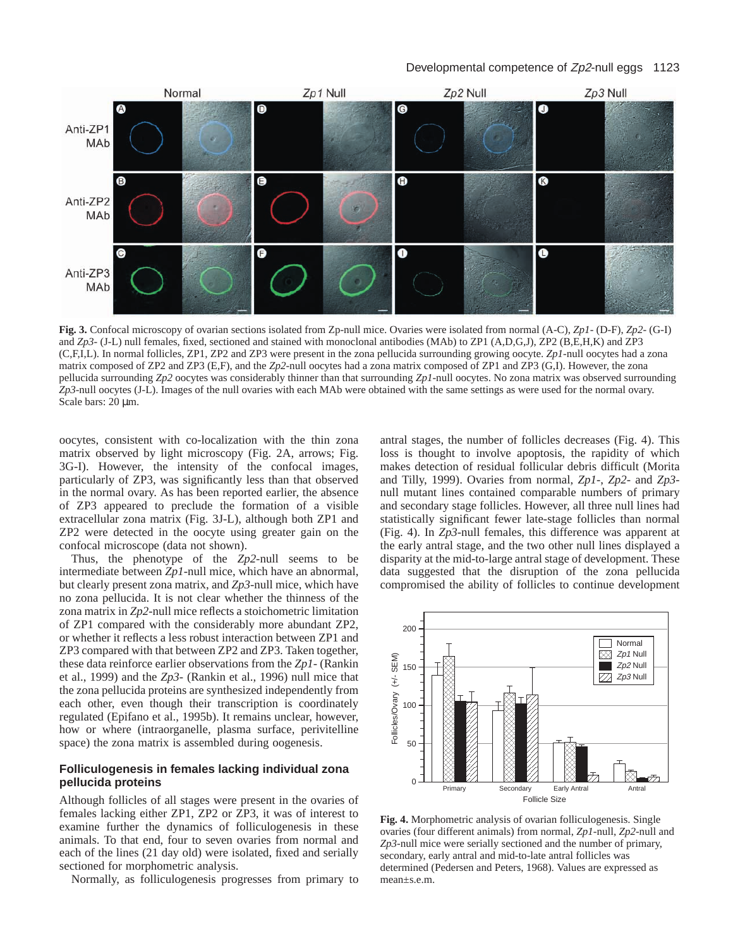

**Fig. 3.** Confocal microscopy of ovarian sections isolated from Zp-null mice. Ovaries were isolated from normal (A-C), *Zp1*- (D-F), *Zp2*- (G-I) and *Zp3*- (J-L) null females, fixed, sectioned and stained with monoclonal antibodies (MAb) to *ZP1* (A,D,G,J), *ZP2* (B,E,H,K) and *ZP3* (C,F,I,L). In normal follicles, ZP1, ZP2 and ZP3 were present in the zona pellucida surrounding growing oocyte. *Zp1*-null oocytes had a zona matrix composed of ZP2 and ZP3 (E,F), and the *Zp2*-null oocytes had a zona matrix composed of ZP1 and ZP3 (G,I). However, the zona pellucida surrounding *Zp2* oocytes was considerably thinner than that surrounding *Zp1*-null oocytes. No zona matrix was observed surrounding *Zp3*-null oocytes (J-L). Images of the null ovaries with each MAb were obtained with the same settings as were used for the normal ovary. Scale bars: 20  $\mu$ m.

oocytes, consistent with co-localization with the thin zona matrix observed by light microscopy (Fig. 2A, arrows; Fig. 3G-I). However, the intensity of the confocal images, particularly of ZP3, was significantly less than that observed in the normal ovary. As has been reported earlier, the absence of ZP3 appeared to preclude the formation of a visible extracellular zona matrix (Fig. 3J-L), although both ZP1 and ZP2 were detected in the oocyte using greater gain on the confocal microscope (data not shown).

Thus, the phenotype of the *Zp2*-null seems to be intermediate between *Zp1*-null mice, which have an abnormal, but clearly present zona matrix, and *Zp3*-null mice, which have no zona pellucida. It is not clear whether the thinness of the zona matrix in *Zp2*-null mice reflects a stoichometric limitation of ZP1 compared with the considerably more abundant ZP2, or whether it reflects a less robust interaction between ZP1 and ZP3 compared with that between ZP2 and ZP3. Taken together, these data reinforce earlier observations from the *Zp1*- (Rankin et al., 1999) and the *Zp3*- (Rankin et al., 1996) null mice that the zona pellucida proteins are synthesized independently from each other, even though their transcription is coordinately regulated (Epifano et al., 1995b). It remains unclear, however, how or where (intraorganelle, plasma surface, perivitelline space) the zona matrix is assembled during oogenesis.

## **Folliculogenesis in females lacking individual zona pellucida proteins**

Although follicles of all stages were present in the ovaries of females lacking either ZP1, ZP2 or ZP3, it was of interest to examine further the dynamics of folliculogenesis in these animals. To that end, four to seven ovaries from normal and each of the lines (21 day old) were isolated, fixed and serially sectioned for morphometric analysis.

Normally, as folliculogenesis progresses from primary to

antral stages, the number of follicles decreases (Fig. 4). This loss is thought to involve apoptosis, the rapidity of which makes detection of residual follicular debris difficult (Morita and Tilly, 1999). Ovaries from normal, *Zp1*-, *Zp2*- and *Zp3* null mutant lines contained comparable numbers of primary and secondary stage follicles. However, all three null lines had statistically significant fewer late-stage follicles than normal (Fig. 4). In *Zp3*-null females, this difference was apparent at the early antral stage, and the two other null lines displayed a disparity at the mid-to-large antral stage of development. These data suggested that the disruption of the zona pellucida compromised the ability of follicles to continue development



**Fig. 4.** Morphometric analysis of ovarian folliculogenesis. Single ovaries (four different animals) from normal, *Zp1*-null, *Zp2*-null and *Zp3*-null mice were serially sectioned and the number of primary, secondary, early antral and mid-to-late antral follicles was determined (Pedersen and Peters, 1968). Values are expressed as mean±s.e.m.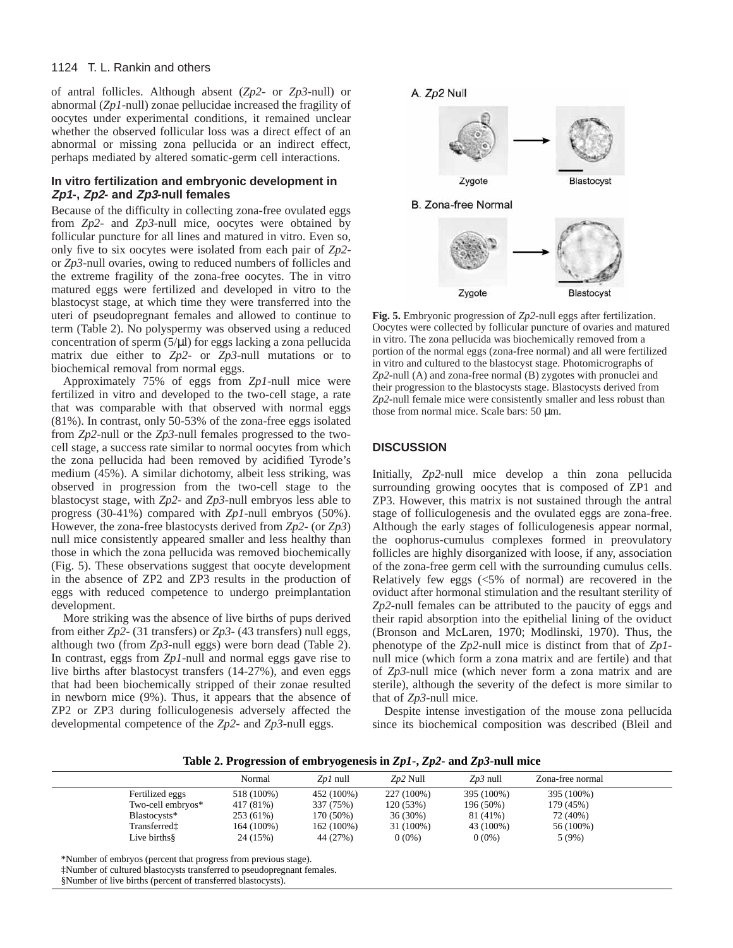## 1124 T. L. Rankin and others

of antral follicles. Although absent (*Zp2*- or *Zp3*-null) or abnormal (*Zp1*-null) zonae pellucidae increased the fragility of oocytes under experimental conditions, it remained unclear whether the observed follicular loss was a direct effect of an abnormal or missing zona pellucida or an indirect effect, perhaps mediated by altered somatic-germ cell interactions.

## **In vitro fertilization and embryonic development in Zp1-, Zp2- and Zp3-null females**

Because of the difficulty in collecting zona-free ovulated eggs from *Zp2*- and *Zp3*-null mice, oocytes were obtained by follicular puncture for all lines and matured in vitro. Even so, only five to six oocytes were isolated from each pair of *Zp2* or *Zp3*-null ovaries, owing to reduced numbers of follicles and the extreme fragility of the zona-free oocytes. The in vitro matured eggs were fertilized and developed in vitro to the blastocyst stage, at which time they were transferred into the uteri of pseudopregnant females and allowed to continue to term (Table 2). No polyspermy was observed using a reduced concentration of sperm (5/µl) for eggs lacking a zona pellucida matrix due either to *Zp2*- or *Zp3*-null mutations or to biochemical removal from normal eggs.

Approximately 75% of eggs from *Zp1*-null mice were fertilized in vitro and developed to the two-cell stage, a rate that was comparable with that observed with normal eggs (81%). In contrast, only 50-53% of the zona-free eggs isolated from *Zp2*-null or the *Zp3*-null females progressed to the twocell stage, a success rate similar to normal oocytes from which the zona pellucida had been removed by acidified Tyrode's medium (45%). A similar dichotomy, albeit less striking, was observed in progression from the two-cell stage to the blastocyst stage, with *Zp2*- and *Zp3*-null embryos less able to progress (30-41%) compared with *Zp1*-null embryos (50%). However, the zona-free blastocysts derived from *Zp2*- (or *Zp3*) null mice consistently appeared smaller and less healthy than those in which the zona pellucida was removed biochemically (Fig. 5). These observations suggest that oocyte development in the absence of ZP2 and ZP3 results in the production of eggs with reduced competence to undergo preimplantation development.

More striking was the absence of live births of pups derived from either *Zp2*- (31 transfers) or *Zp3*- (43 transfers) null eggs, although two (from *Zp3*-null eggs) were born dead (Table 2). In contrast, eggs from *Zp1*-null and normal eggs gave rise to live births after blastocyst transfers (14-27%), and even eggs that had been biochemically stripped of their zonae resulted in newborn mice (9%). Thus, it appears that the absence of ZP2 or ZP3 during folliculogenesis adversely affected the developmental competence of the *Zp2*- and *Zp3*-null eggs.



**Fig. 5.** Embryonic progression of *Zp2*-null eggs after fertilization. Oocytes were collected by follicular puncture of ovaries and matured in vitro. The zona pellucida was biochemically removed from a portion of the normal eggs (zona-free normal) and all were fertilized in vitro and cultured to the blastocyst stage. Photomicrographs of *Zp2*-null (A) and zona-free normal (B) zygotes with pronuclei and their progression to the blastocysts stage. Blastocysts derived from *Zp2*-null female mice were consistently smaller and less robust than those from normal mice. Scale bars: 50 µm.

## **DISCUSSION**

Initially, *Zp2*-null mice develop a thin zona pellucida surrounding growing oocytes that is composed of ZP1 and ZP3. However, this matrix is not sustained through the antral stage of folliculogenesis and the ovulated eggs are zona-free. Although the early stages of folliculogenesis appear normal, the oophorus-cumulus complexes formed in preovulatory follicles are highly disorganized with loose, if any, association of the zona-free germ cell with the surrounding cumulus cells. Relatively few eggs (<5% of normal) are recovered in the oviduct after hormonal stimulation and the resultant sterility of *Zp2*-null females can be attributed to the paucity of eggs and their rapid absorption into the epithelial lining of the oviduct (Bronson and McLaren, 1970; Modlinski, 1970). Thus, the phenotype of the *Zp2*-null mice is distinct from that of *Zp1* null mice (which form a zona matrix and are fertile) and that of *Zp3*-null mice (which never form a zona matrix and are sterile), although the severity of the defect is more similar to that of *Zp3*-null mice*.* 

Despite intense investigation of the mouse zona pellucida since its biochemical composition was described (Bleil and

**Table 2. Progression of embryogenesis in** *Zp1***-,** *Zp2***- and** *Zp3***-null mice**

|                   | Normal     | Z <i>p1</i> null | $Zp2$ Null | $Zp3$ null | Zona-free normal |  |
|-------------------|------------|------------------|------------|------------|------------------|--|
| Fertilized eggs   | 518 (100%) | 452 (100%)       | 227 (100%) | 395 (100%) | 395 (100%)       |  |
| Two-cell embryos* | 417 (81%)  | 337 (75%)        | 120 (53%)  | 196 (50%)  | 179 (45%)        |  |
| Blastocysts*      | 253 (61%)  | 170 (50%)        | 36 (30%)   | 81 (41%)   | 72 (40%)         |  |
| Transferredt      | 164 (100%) | 162 (100%)       | 31 (100%)  | 43 (100%)  | 56 (100%)        |  |
| Live births§      | 24 (15%)   | 44 (27%)         | $0(0\%)$   | $0(0\%)$   | 5(9%)            |  |

<sup>\*</sup>Number of embryos (percent that progress from previous stage).

‡Number of cultured blastocysts transferred to pseudopregnant females.

§Number of live births (percent of transferred blastocysts).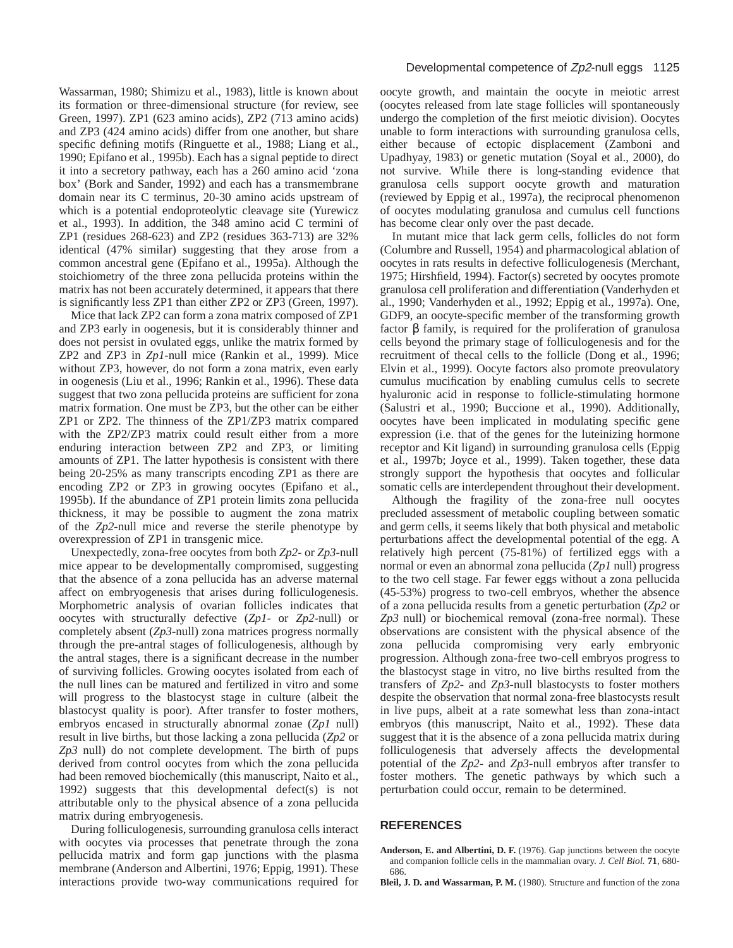Wassarman, 1980; Shimizu et al., 1983), little is known about its formation or three-dimensional structure (for review, see Green, 1997). ZP1 (623 amino acids), ZP2 (713 amino acids) and ZP3 (424 amino acids) differ from one another, but share specific defining motifs (Ringuette et al., 1988; Liang et al., 1990; Epifano et al., 1995b). Each has a signal peptide to direct it into a secretory pathway, each has a 260 amino acid 'zona box' (Bork and Sander, 1992) and each has a transmembrane domain near its C terminus, 20-30 amino acids upstream of which is a potential endoproteolytic cleavage site (Yurewicz et al., 1993). In addition, the 348 amino acid C termini of ZP1 (residues 268-623) and ZP2 (residues 363-713) are 32% identical (47% similar) suggesting that they arose from a common ancestral gene (Epifano et al., 1995a). Although the stoichiometry of the three zona pellucida proteins within the matrix has not been accurately determined, it appears that there is significantly less ZP1 than either ZP2 or ZP3 (Green, 1997).

Mice that lack ZP2 can form a zona matrix composed of ZP1 and ZP3 early in oogenesis, but it is considerably thinner and does not persist in ovulated eggs, unlike the matrix formed by ZP2 and ZP3 in *Zp1*-null mice (Rankin et al., 1999). Mice without ZP3, however, do not form a zona matrix, even early in oogenesis (Liu et al., 1996; Rankin et al., 1996). These data suggest that two zona pellucida proteins are sufficient for zona matrix formation. One must be ZP3, but the other can be either ZP1 or ZP2. The thinness of the ZP1/ZP3 matrix compared with the ZP2/ZP3 matrix could result either from a more enduring interaction between ZP2 and ZP3, or limiting amounts of ZP1. The latter hypothesis is consistent with there being 20-25% as many transcripts encoding ZP1 as there are encoding ZP2 or ZP3 in growing oocytes (Epifano et al., 1995b). If the abundance of ZP1 protein limits zona pellucida thickness, it may be possible to augment the zona matrix of the *Zp2*-null mice and reverse the sterile phenotype by overexpression of ZP1 in transgenic mice.

Unexpectedly, zona-free oocytes from both *Zp2*- or *Zp3*-null mice appear to be developmentally compromised, suggesting that the absence of a zona pellucida has an adverse maternal affect on embryogenesis that arises during folliculogenesis. Morphometric analysis of ovarian follicles indicates that oocytes with structurally defective (*Zp1*- or *Zp2*-null) or completely absent (*Zp3*-null) zona matrices progress normally through the pre-antral stages of folliculogenesis, although by the antral stages, there is a significant decrease in the number of surviving follicles. Growing oocytes isolated from each of the null lines can be matured and fertilized in vitro and some will progress to the blastocyst stage in culture (albeit the blastocyst quality is poor). After transfer to foster mothers, embryos encased in structurally abnormal zonae (*Zp1* null) result in live births, but those lacking a zona pellucida (*Zp2* or *Zp3* null) do not complete development. The birth of pups derived from control oocytes from which the zona pellucida had been removed biochemically (this manuscript, Naito et al., 1992) suggests that this developmental defect(s) is not attributable only to the physical absence of a zona pellucida matrix during embryogenesis.

During folliculogenesis, surrounding granulosa cells interact with oocytes via processes that penetrate through the zona pellucida matrix and form gap junctions with the plasma membrane (Anderson and Albertini, 1976; Eppig, 1991). These interactions provide two-way communications required for

oocyte growth, and maintain the oocyte in meiotic arrest (oocytes released from late stage follicles will spontaneously undergo the completion of the first meiotic division). Oocytes unable to form interactions with surrounding granulosa cells, either because of ectopic displacement (Zamboni and Upadhyay, 1983) or genetic mutation (Soyal et al., 2000), do not survive. While there is long-standing evidence that granulosa cells support oocyte growth and maturation (reviewed by Eppig et al., 1997a), the reciprocal phenomenon of oocytes modulating granulosa and cumulus cell functions has become clear only over the past decade.

In mutant mice that lack germ cells, follicles do not form (Columbre and Russell, 1954) and pharmacological ablation of oocytes in rats results in defective folliculogenesis (Merchant, 1975; Hirshfield, 1994). Factor(s) secreted by oocytes promote granulosa cell proliferation and differentiation (Vanderhyden et al., 1990; Vanderhyden et al., 1992; Eppig et al., 1997a). One, GDF9, an oocyte-specific member of the transforming growth factor β family, is required for the proliferation of granulosa cells beyond the primary stage of folliculogenesis and for the recruitment of thecal cells to the follicle (Dong et al., 1996; Elvin et al., 1999). Oocyte factors also promote preovulatory cumulus mucification by enabling cumulus cells to secrete hyaluronic acid in response to follicle-stimulating hormone (Salustri et al., 1990; Buccione et al., 1990). Additionally, oocytes have been implicated in modulating specific gene expression (i.e. that of the genes for the luteinizing hormone receptor and Kit ligand) in surrounding granulosa cells (Eppig et al., 1997b; Joyce et al., 1999). Taken together, these data strongly support the hypothesis that oocytes and follicular somatic cells are interdependent throughout their development.

Although the fragility of the zona-free null oocytes precluded assessment of metabolic coupling between somatic and germ cells, it seems likely that both physical and metabolic perturbations affect the developmental potential of the egg. A relatively high percent (75-81%) of fertilized eggs with a normal or even an abnormal zona pellucida (*Zp1* null) progress to the two cell stage. Far fewer eggs without a zona pellucida (45-53%) progress to two-cell embryos, whether the absence of a zona pellucida results from a genetic perturbation (*Zp2* or *Zp3* null) or biochemical removal (zona-free normal). These observations are consistent with the physical absence of the zona pellucida compromising very early embryonic progression. Although zona-free two-cell embryos progress to the blastocyst stage in vitro, no live births resulted from the transfers of *Zp2*- and *Zp3*-null blastocysts to foster mothers despite the observation that normal zona-free blastocysts result in live pups, albeit at a rate somewhat less than zona-intact embryos (this manuscript, Naito et al., 1992). These data suggest that it is the absence of a zona pellucida matrix during folliculogenesis that adversely affects the developmental potential of the *Zp2*- and *Zp3*-null embryos after transfer to foster mothers. The genetic pathways by which such a perturbation could occur, remain to be determined.

# **REFERENCES**

**Anderson, E. and Albertini, D. F.** (1976). Gap junctions between the oocyte and companion follicle cells in the mammalian ovary. *J. Cell Biol.* **71**, 680- 686.

**Bleil, J. D. and Wassarman, P. M.** (1980). Structure and function of the zona